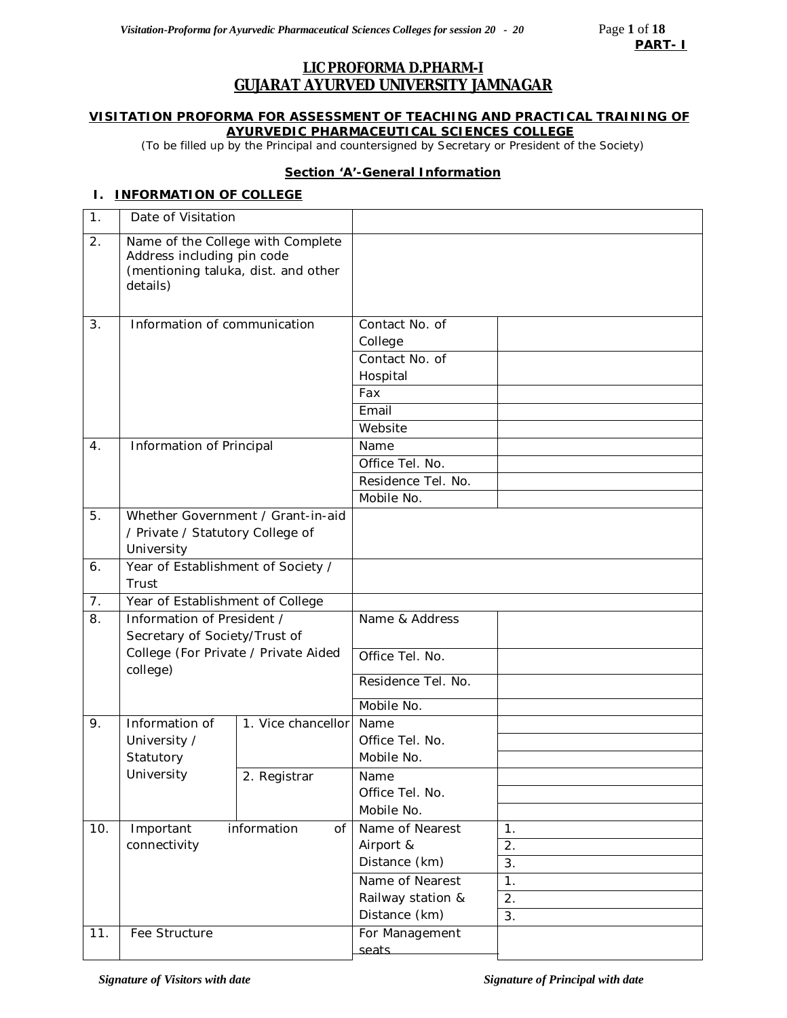## **LIC PROFORMA D.PHARM-I GUJARAT AYURVED UNIVERSITY JAMNAGAR**

#### **VISITATION PROFORMA FOR ASSESSMENT OF TEACHING AND PRACTICAL TRAINING OF AYURVEDIC PHARMACEUTICAL SCIENCES COLLEGE**

*(*To be filled up by the Principal and countersigned by Secretary or President of the Society)

#### **Section 'A'-General Information**

## **I. INFORMATION OF COLLEGE**

| 1.  | Date of Visitation                                                                                                 |                    |                                             |                  |
|-----|--------------------------------------------------------------------------------------------------------------------|--------------------|---------------------------------------------|------------------|
| 2.  | Name of the College with Complete<br>Address including pin code<br>(mentioning taluka, dist. and other<br>details) |                    |                                             |                  |
| 3.  | Information of communication                                                                                       |                    | Contact No. of<br>College<br>Contact No. of |                  |
|     |                                                                                                                    |                    | Hospital                                    |                  |
|     |                                                                                                                    |                    | Fax                                         |                  |
|     |                                                                                                                    |                    | Email                                       |                  |
|     |                                                                                                                    |                    | Website                                     |                  |
| 4.  | Information of Principal                                                                                           |                    | Name                                        |                  |
|     |                                                                                                                    |                    | Office Tel. No.                             |                  |
|     |                                                                                                                    |                    | Residence Tel. No.                          |                  |
|     |                                                                                                                    |                    | Mobile No.                                  |                  |
| 5.  | Whether Government / Grant-in-aid<br>/ Private / Statutory College of<br>University                                |                    |                                             |                  |
|     |                                                                                                                    |                    |                                             |                  |
| 6.  | Year of Establishment of Society /<br>Trust<br>Year of Establishment of College                                    |                    |                                             |                  |
|     |                                                                                                                    |                    |                                             |                  |
| 7.  |                                                                                                                    |                    |                                             |                  |
| 8.  | Information of President /<br>Secretary of Society/Trust of                                                        |                    | Name & Address                              |                  |
|     | College (For Private / Private Aided<br>college)                                                                   |                    | Office Tel. No.                             |                  |
|     |                                                                                                                    |                    | Residence Tel. No.                          |                  |
|     |                                                                                                                    |                    | Mobile No.                                  |                  |
| 9.  | Information of                                                                                                     | 1. Vice chancellor | Name                                        |                  |
|     | University /                                                                                                       |                    | Office Tel. No.                             |                  |
|     | Statutory                                                                                                          |                    | Mobile No.                                  |                  |
|     | University                                                                                                         | 2. Registrar       | Name<br>Office Tel. No.                     |                  |
|     |                                                                                                                    |                    | Mobile No.                                  |                  |
| 10. | Important                                                                                                          | information<br>of  | Name of Nearest                             | 1.               |
|     | connectivity                                                                                                       |                    | Airport &                                   | 2.               |
|     |                                                                                                                    |                    | Distance (km)                               | $\overline{3}$ . |
|     |                                                                                                                    |                    | Name of Nearest                             | 1.               |
|     |                                                                                                                    |                    | Railway station &                           | 2.               |
|     |                                                                                                                    |                    | Distance (km)                               | 3.               |
| 11. | Fee Structure                                                                                                      |                    | For Management                              |                  |
|     |                                                                                                                    |                    | seats                                       |                  |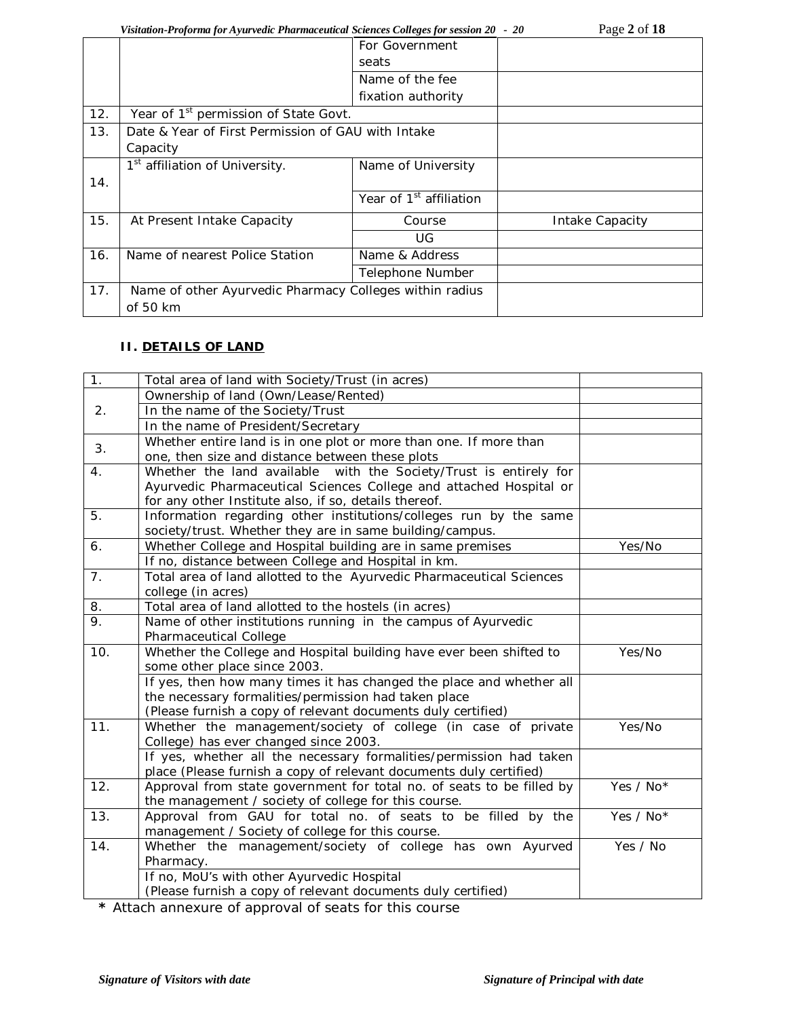## *Visitation-Proforma for Ayurvedic Pharmaceutical Sciences Colleges for session 20 - 20*

| Page 2 of 18 |  |  |
|--------------|--|--|
|              |  |  |

|     | r istimion 1 rojoi ma joi 11 jin runu 1 ma mnictimum sciences Conc <sub>l</sub> us joi sussion 20 |                                     |                 |
|-----|---------------------------------------------------------------------------------------------------|-------------------------------------|-----------------|
|     |                                                                                                   | For Government                      |                 |
|     |                                                                                                   | seats                               |                 |
|     |                                                                                                   | Name of the fee                     |                 |
|     |                                                                                                   | fixation authority                  |                 |
| 12. | Year of 1 <sup>st</sup> permission of State Govt.                                                 |                                     |                 |
| 13. | Date & Year of First Permission of GAU with Intake                                                |                                     |                 |
|     | Capacity                                                                                          |                                     |                 |
|     | 1 <sup>st</sup> affiliation of University.                                                        | Name of University                  |                 |
| 14. |                                                                                                   |                                     |                 |
|     |                                                                                                   | Year of 1 <sup>st</sup> affiliation |                 |
| 15. | At Present Intake Capacity                                                                        | Course                              | Intake Capacity |
|     |                                                                                                   | UG.                                 |                 |
| 16. | Name of nearest Police Station                                                                    | Name & Address                      |                 |
|     |                                                                                                   | Telephone Number                    |                 |
| 17. | Name of other Ayurvedic Pharmacy Colleges within radius                                           |                                     |                 |
|     | of 50 km                                                                                          |                                     |                 |
|     |                                                                                                   |                                     |                 |

# **II. DETAILS OF LAND**

| $\overline{1}$ . | Total area of land with Society/Trust (in acres)                      |           |
|------------------|-----------------------------------------------------------------------|-----------|
|                  | Ownership of land (Own/Lease/Rented)                                  |           |
| 2.               | In the name of the Society/Trust                                      |           |
|                  | In the name of President/Secretary                                    |           |
| 3.               | Whether entire land is in one plot or more than one. If more than     |           |
|                  | one, then size and distance between these plots                       |           |
| 4.               | Whether the land available with the Society/Trust is entirely for     |           |
|                  | Ayurvedic Pharmaceutical Sciences College and attached Hospital or    |           |
|                  | for any other Institute also, if so, details thereof.                 |           |
| 5.               | Information regarding other institutions/colleges run by the same     |           |
|                  | society/trust. Whether they are in same building/campus.              |           |
| 6.               | Whether College and Hospital building are in same premises            | Yes/No    |
|                  | If no, distance between College and Hospital in km.                   |           |
| 7.               | Total area of land allotted to the Ayurvedic Pharmaceutical Sciences  |           |
|                  | college (in acres)                                                    |           |
| 8.               | Total area of land allotted to the hostels (in acres)                 |           |
| 9.               | Name of other institutions running in the campus of Ayurvedic         |           |
|                  | Pharmaceutical College                                                |           |
| 10.              | Whether the College and Hospital building have ever been shifted to   | Yes/No    |
|                  | some other place since 2003.                                          |           |
|                  | If yes, then how many times it has changed the place and whether all  |           |
|                  | the necessary formalities/permission had taken place                  |           |
|                  | (Please furnish a copy of relevant documents duly certified)          |           |
| 11.              | Whether the management/society of college (in case of private         | Yes/No    |
|                  | College) has ever changed since 2003.                                 |           |
|                  | If yes, whether all the necessary formalities/permission had taken    |           |
|                  | place (Please furnish a copy of relevant documents duly certified)    |           |
| 12.              | Approval from state government for total no. of seats to be filled by | Yes / No* |
|                  | the management / society of college for this course.                  |           |
| 13.              | Approval from GAU for total no. of seats to be filled by the          | Yes / No* |
|                  | management / Society of college for this course.                      |           |
| 14.              | Whether the management/society of college has own Ayurved             | Yes / No  |
|                  | Pharmacy.                                                             |           |
|                  | If no, MoU's with other Ayurvedic Hospital                            |           |
|                  | (Please furnish a copy of relevant documents duly certified)          |           |

**\*** Attach annexure of approval of seats for this course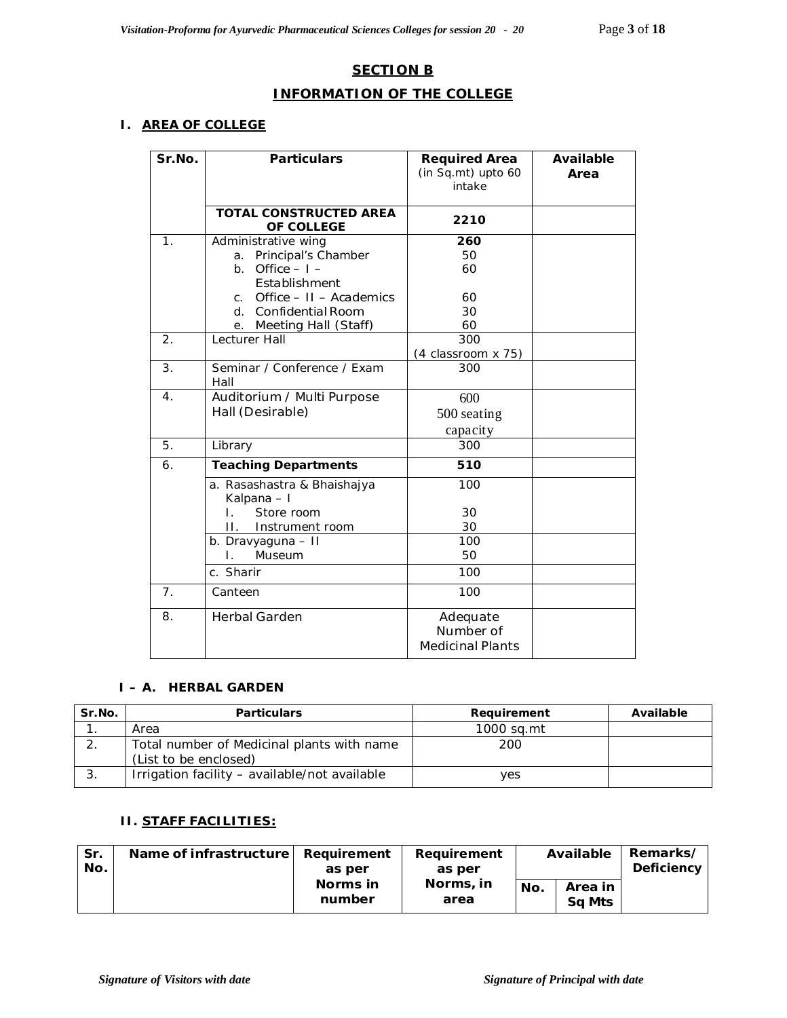# **SECTION B**

## **INFORMATION OF THE COLLEGE**

## **I. AREA OF COLLEGE**

| Sr.No.           | <b>Particulars</b>                                                                 | <b>Required Area</b><br>(in Sq.mt) upto 60<br>intake | Available<br>Area |
|------------------|------------------------------------------------------------------------------------|------------------------------------------------------|-------------------|
|                  | <b>TOTAL CONSTRUCTED AREA</b><br>OF COLLEGE                                        | 2210                                                 |                   |
| 1.               | Administrative wing<br>a. Principal's Chamber<br>b. Office $-1$ -<br>Establishment | 260<br>50<br>60                                      |                   |
|                  | c. Office $-11 -$ Academics<br>d. Confidential Room<br>e. Meeting Hall (Staff)     | 60<br>30<br>60                                       |                   |
| $\overline{2}$ . | Lecturer Hall                                                                      | 300<br>(4 classroom x 75)                            |                   |
| 3.               | Seminar / Conference / Exam<br>Hall                                                | 300                                                  |                   |
| $\overline{4}$ . | Auditorium / Multi Purpose<br>Hall (Desirable)                                     | 600<br>500 seating<br>capacity                       |                   |
| 5.               | Library                                                                            | 300                                                  |                   |
| 6.               | <b>Teaching Departments</b>                                                        | 510                                                  |                   |
|                  | a. Rasashastra & Bhaishajya<br>Kalpana - I<br>Store room<br>L.                     | 100<br>30                                            |                   |
|                  | Н.<br>Instrument room                                                              | 30                                                   |                   |
|                  | b. Dravyaguna - II<br>Museum<br>Ι.                                                 | 100<br>50                                            |                   |
|                  | c. Sharir                                                                          | 100                                                  |                   |
| 7 <sub>1</sub>   | Canteen                                                                            | 100                                                  |                   |
| 8.               | <b>Herbal Garden</b>                                                               | Adequate<br>Number of<br><b>Medicinal Plants</b>     |                   |

#### **I – A. HERBAL GARDEN**

| Sr.No. | <b>Particulars</b>                                                  | Requirement | Available |
|--------|---------------------------------------------------------------------|-------------|-----------|
|        | Area                                                                | 1000 sa.mt  |           |
|        | Total number of Medicinal plants with name<br>(List to be enclosed) | 200         |           |
|        | Irrigation facility - available/not available                       | yes         |           |

## **II. STAFF FACILITIES:**

| Sr.<br>No. | Name of infrastructure | Requirement<br>Requirement<br>as per<br>as per |                   | Available |                   | Remarks/<br>Deficiency |
|------------|------------------------|------------------------------------------------|-------------------|-----------|-------------------|------------------------|
|            |                        | Norms in<br>number                             | Norms, in<br>area | No.       | Area in<br>Sa Mts |                        |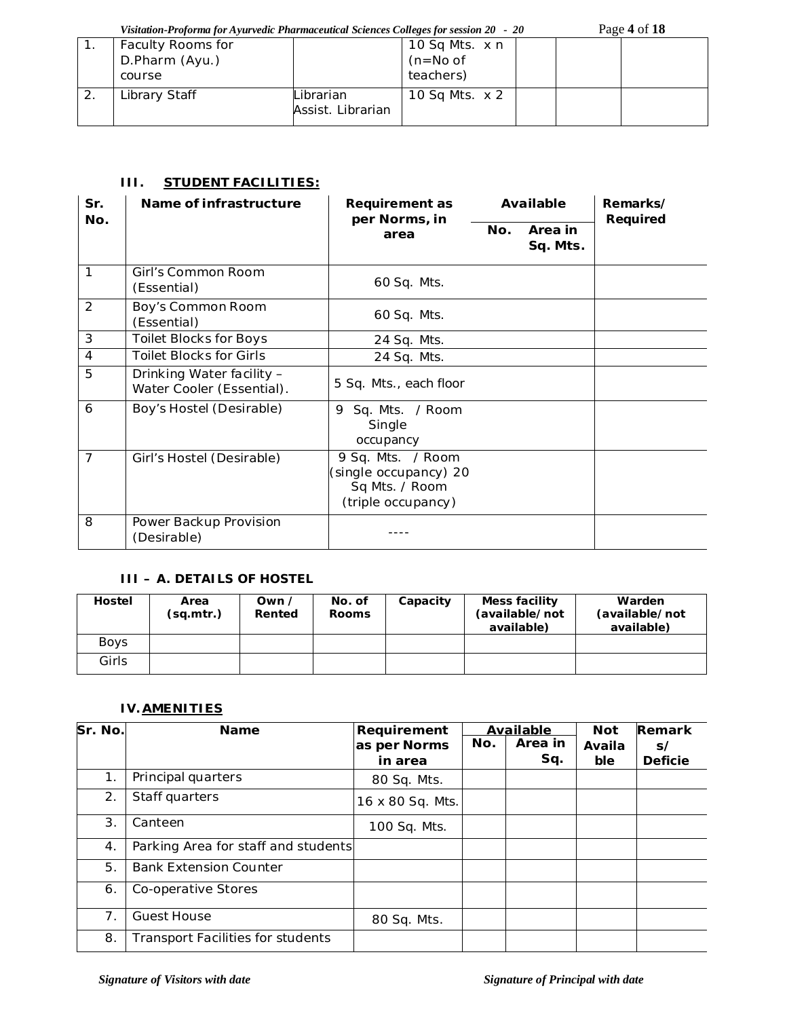*Visitation-Proforma for Ayurvedic Pharmaceutical Sciences Colleges for session 20 - 20* Page **4** of **18**

| Faculty Rooms for |                                | 10 Sq Mts. x n |  |  |
|-------------------|--------------------------------|----------------|--|--|
| D.Pharm (Ayu.)    |                                | $(n=No of$     |  |  |
| course            |                                | teachers)      |  |  |
| Library Staff     | Librarian<br>Assist. Librarian | 10 Sq Mts. x 2 |  |  |

## **III. STUDENT FACILITIES:**

| Sr.            | Name of infrastructure                                 | <b>Requirement as</b><br>per Norms, in                                             |     | Available           | Remarks/ |
|----------------|--------------------------------------------------------|------------------------------------------------------------------------------------|-----|---------------------|----------|
| No.            |                                                        | area                                                                               | No. | Area in<br>Sq. Mts. | Required |
| 1              | Girl's Common Room<br>(Essential)                      | 60 Sq. Mts.                                                                        |     |                     |          |
| 2              | Boy's Common Room<br>(Essential)                       | 60 Sq. Mts.                                                                        |     |                     |          |
| 3              | <b>Toilet Blocks for Boys</b>                          | 24 Sq. Mts.                                                                        |     |                     |          |
| 4              | <b>Toilet Blocks for Girls</b>                         | 24 Sq. Mts.                                                                        |     |                     |          |
| 5              | Drinking Water facility -<br>Water Cooler (Essential). | 5 Sq. Mts., each floor                                                             |     |                     |          |
| 6              | Boy's Hostel (Desirable)                               | Sq. Mts. / Room<br>9<br>Single<br>occupancy                                        |     |                     |          |
| $\overline{7}$ | Girl's Hostel (Desirable)                              | 9 Sq. Mts. / Room<br>(single occupancy) 20<br>Sq Mts. / Room<br>(triple occupancy) |     |                     |          |
| 8              | Power Backup Provision<br>(Desirable)                  |                                                                                    |     |                     |          |

# **III – A. DETAILS OF HOSTEL**

| <b>Hostel</b> | Area<br>(sq.mtr.) | Own $\prime$<br>Rented | No. of<br><b>Rooms</b> | Capacity | Mess facility<br>(available/not<br>available) | Warden<br>(available/not<br>available) |
|---------------|-------------------|------------------------|------------------------|----------|-----------------------------------------------|----------------------------------------|
| <b>Boys</b>   |                   |                        |                        |          |                                               |                                        |
| Girls         |                   |                        |                        |          |                                               |                                        |

## **IV.AMENITIES**

| Sr. No. | <b>Name</b>                              | Requirement<br>as per Norms<br>in area | No. | Available<br>Area in<br>Sq. | <b>Not</b><br>Availa<br>ble | Remark<br>$\mathsf{s}/$<br><b>Deficie</b> |
|---------|------------------------------------------|----------------------------------------|-----|-----------------------------|-----------------------------|-------------------------------------------|
| 1.      | Principal quarters                       | 80 Sq. Mts.                            |     |                             |                             |                                           |
| 2.      | Staff quarters                           | 16 x 80 Sq. Mts.                       |     |                             |                             |                                           |
| 3.      | Canteen                                  | 100 Sq. Mts.                           |     |                             |                             |                                           |
| 4.      | Parking Area for staff and students      |                                        |     |                             |                             |                                           |
| 5.      | <b>Bank Extension Counter</b>            |                                        |     |                             |                             |                                           |
| 6.      | Co-operative Stores                      |                                        |     |                             |                             |                                           |
| 7.      | <b>Guest House</b>                       | 80 Sq. Mts.                            |     |                             |                             |                                           |
| 8.      | <b>Transport Facilities for students</b> |                                        |     |                             |                             |                                           |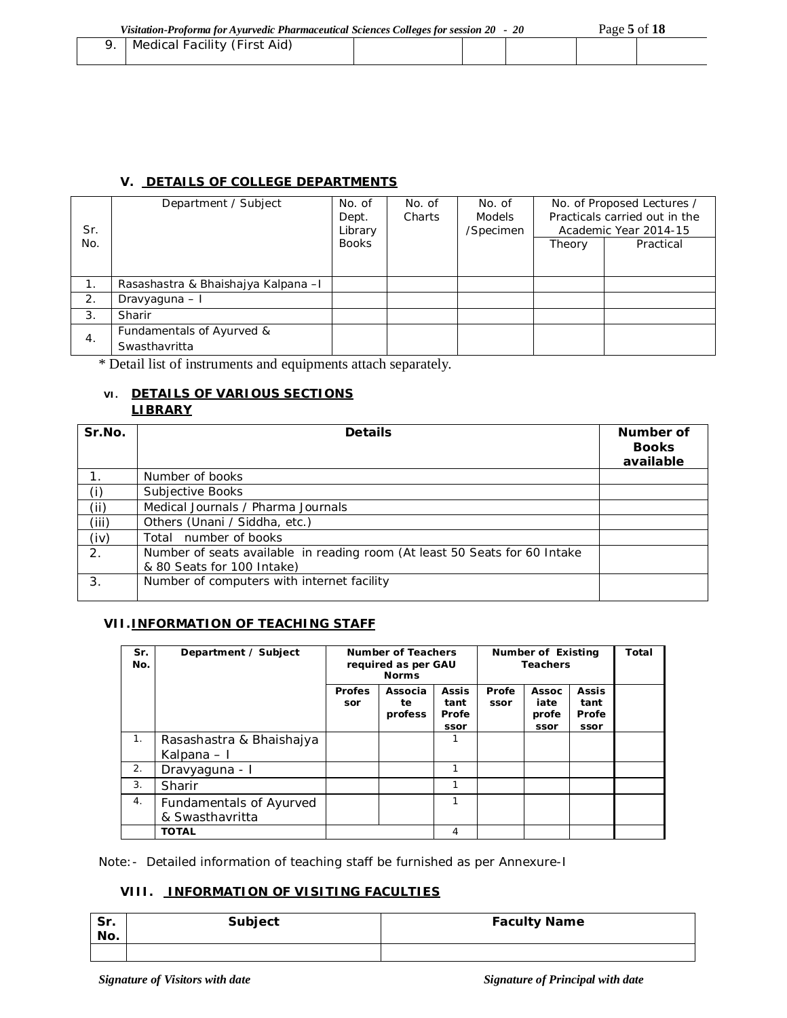| Medical Facility (First Aid) |  |  |  |
|------------------------------|--|--|--|
|                              |  |  |  |

#### **V. DETAILS OF COLLEGE DEPARTMENTS**

| Sr. | Department / Subject                       | No. of<br>Dept.<br>Library | No. of<br>Charts | No. of<br><b>Models</b><br>/Specimen |        | No. of Proposed Lectures /<br>Practicals carried out in the<br>Academic Year 2014-15 |
|-----|--------------------------------------------|----------------------------|------------------|--------------------------------------|--------|--------------------------------------------------------------------------------------|
| No. |                                            | <b>Books</b>               |                  |                                      | Theory | Practical                                                                            |
| 1.  | Rasashastra & Bhaishajya Kalpana - I       |                            |                  |                                      |        |                                                                                      |
| 2.  | Dravyaguna - I                             |                            |                  |                                      |        |                                                                                      |
| 3.  | Sharir                                     |                            |                  |                                      |        |                                                                                      |
| 4.  | Fundamentals of Ayurved &<br>Swasthavritta |                            |                  |                                      |        |                                                                                      |

\* Detail list of instruments and equipments attach separately.

#### **VI. DETAILS OF VARIOUS SECTIONS LIBRARY**

| Sr.No. | <b>Details</b>                                                                                           | Number of<br><b>Books</b><br>available |
|--------|----------------------------------------------------------------------------------------------------------|----------------------------------------|
|        | Number of books                                                                                          |                                        |
| (i)    | Subjective Books                                                                                         |                                        |
| (i)    | Medical Journals / Pharma Journals                                                                       |                                        |
| (iii)  | Others (Unani / Siddha, etc.)                                                                            |                                        |
| (iv)   | Total number of books                                                                                    |                                        |
| 2.     | Number of seats available in reading room (At least 50 Seats for 60 Intake<br>& 80 Seats for 100 Intake) |                                        |
| 3.     | Number of computers with internet facility                                                               |                                        |

#### **VII.INFORMATION OF TEACHING STAFF**

| Sr.<br>No. | Department / Subject                       | Number of Teachers<br>required as per GAU<br><b>Norms</b> |                          |                                       | Number of Existing<br><b>Teachers</b> |                                       | Total                                 |  |
|------------|--------------------------------------------|-----------------------------------------------------------|--------------------------|---------------------------------------|---------------------------------------|---------------------------------------|---------------------------------------|--|
|            |                                            | <b>Profes</b><br>sor                                      | Associa<br>te<br>profess | <b>Assis</b><br>tant<br>Profe<br>ssor | Profe<br>ssor                         | <b>Assoc</b><br>iate<br>profe<br>ssor | <b>Assis</b><br>tant<br>Profe<br>ssor |  |
| 1.         | Rasashastra & Bhaishajya<br>Kalpana – I    |                                                           |                          | 1                                     |                                       |                                       |                                       |  |
| 2.         | Dravyaguna - I                             |                                                           |                          | 1                                     |                                       |                                       |                                       |  |
| 3.         | Sharir                                     |                                                           |                          | 1                                     |                                       |                                       |                                       |  |
| 4.         | Fundamentals of Ayurved<br>& Swasthavritta |                                                           |                          | 1                                     |                                       |                                       |                                       |  |
|            | <b>TOTAL</b>                               |                                                           |                          | 4                                     |                                       |                                       |                                       |  |

Note:- Detailed information of teaching staff be furnished as per Annexure-I

## **VIII. INFORMATION OF VISITING FACULTIES**

| $c_{r}$<br>ы.<br>No. | Subject | <b>Faculty Name</b> |
|----------------------|---------|---------------------|
|                      |         |                     |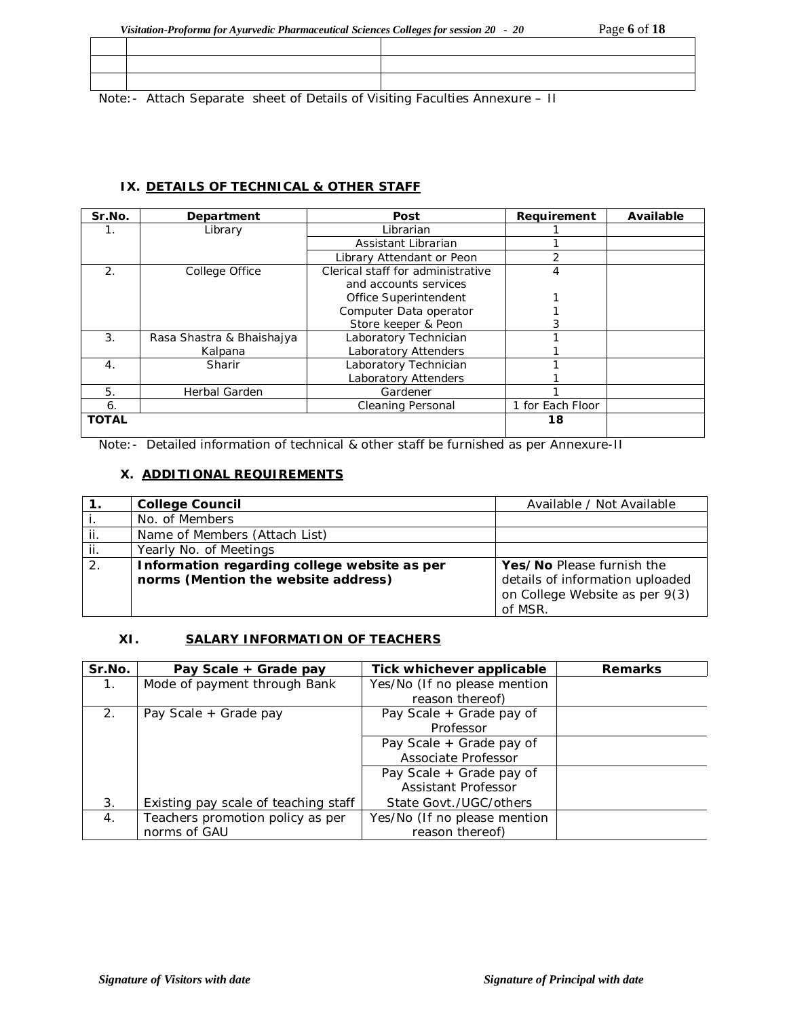|  |  | 그 사람들은 그 사람들은 그 사람들을 하고 있는 것 같은 사람들을 사용하는 것 같은 사람들을 하고 있다. 그 사람들은 그 사람들을 지켜 보고 있다. 그 사람들은 그 사람들은 그 사람들을 지켜 보고 |  |
|--|--|---------------------------------------------------------------------------------------------------------------|--|

Note:- Attach Separate sheet of Details of Visiting Faculties Annexure – II

## **IX. DETAILS OF TECHNICAL & OTHER STAFF**

| Sr.No.           | Department                | Post                              | Requirement      | Available |
|------------------|---------------------------|-----------------------------------|------------------|-----------|
| 1.               | Library                   | Librarian                         |                  |           |
|                  |                           | Assistant Librarian               |                  |           |
|                  |                           | Library Attendant or Peon         | $\overline{2}$   |           |
| $\mathcal{P}$    | College Office            | Clerical staff for administrative | 4                |           |
|                  |                           | and accounts services             |                  |           |
|                  |                           | Office Superintendent             |                  |           |
|                  |                           | Computer Data operator            |                  |           |
|                  |                           | Store keeper & Peon               |                  |           |
| 3.               | Rasa Shastra & Bhaishajya | Laboratory Technician             |                  |           |
|                  | Kalpana                   | Laboratory Attenders              |                  |           |
| $\overline{4}$ . | <b>Sharir</b>             | Laboratory Technician             |                  |           |
|                  |                           | <b>Laboratory Attenders</b>       |                  |           |
| 5.               | <b>Herbal Garden</b>      | Gardener                          |                  |           |
| 6.               |                           | <b>Cleaning Personal</b>          | 1 for Each Floor |           |
| <b>TOTAL</b>     |                           |                                   | 18               |           |

Note:- Detailed information of technical & other staff be furnished as per Annexure-II

# **X. ADDITIONAL REQUIREMENTS**

|     | <b>College Council</b>                       | Available / Not Available       |
|-----|----------------------------------------------|---------------------------------|
|     | No. of Members                               |                                 |
| ii. | Name of Members (Attach List)                |                                 |
| jj. | Yearly No. of Meetings                       |                                 |
| 2.  | Information regarding college website as per | Yes/No Please furnish the       |
|     | norms (Mention the website address)          | details of information uploaded |
|     |                                              | on College Website as per 9(3)  |
|     |                                              | of MSR.                         |

## **XI. SALARY INFORMATION OF TEACHERS**

| Sr.No.           | Pay Scale + Grade pay                | Tick whichever applicable    | <b>Remarks</b> |
|------------------|--------------------------------------|------------------------------|----------------|
| 1 <sub>1</sub>   | Mode of payment through Bank         | Yes/No (If no please mention |                |
|                  |                                      | reason thereof)              |                |
| 2.               | Pay Scale + Grade pay                | Pay Scale + Grade pay of     |                |
|                  |                                      | Professor                    |                |
|                  |                                      | Pay Scale + Grade pay of     |                |
|                  |                                      | Associate Professor          |                |
|                  |                                      | Pay Scale + Grade pay of     |                |
|                  |                                      | <b>Assistant Professor</b>   |                |
| 3.               | Existing pay scale of teaching staff | State Govt./UGC/others       |                |
| $\overline{4}$ . | Teachers promotion policy as per     | Yes/No (If no please mention |                |
|                  | norms of GAU                         | reason thereof)              |                |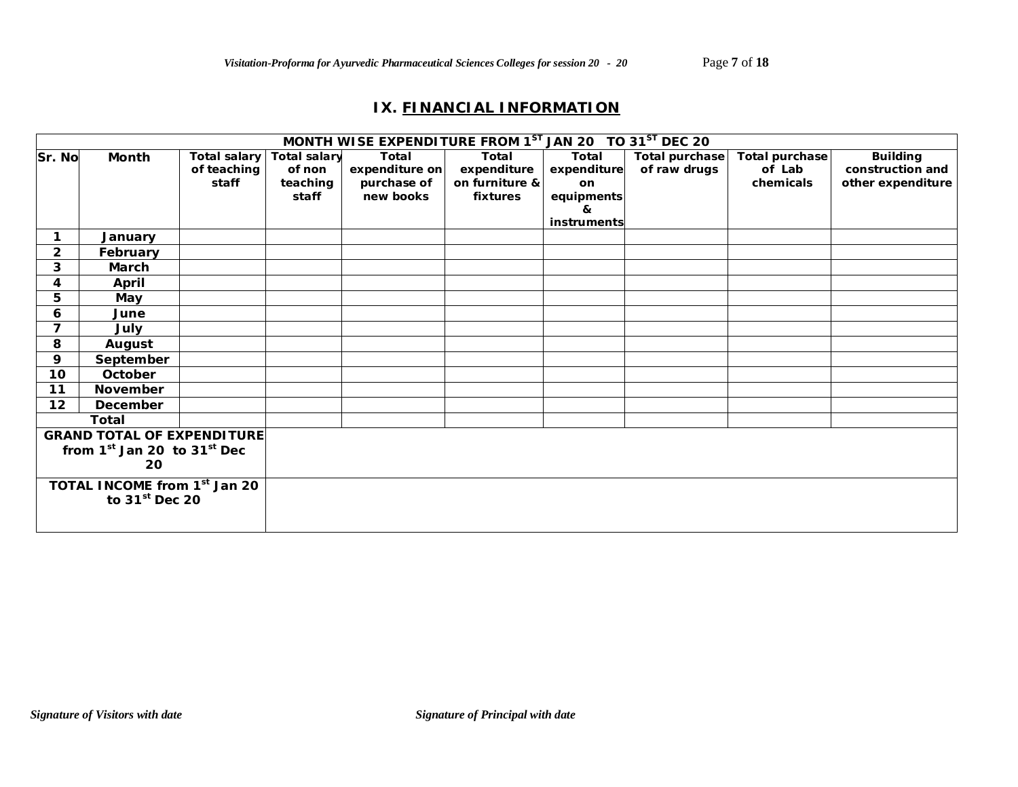# **IX. FINANCIAL INFORMATION**

| MONTH WISE EXPENDITURE FROM 1 <sup>ST</sup> JAN 20 TO 31 <sup>ST</sup> DEC 20 |                                   |              |                     |                |                |             |                       |                |                   |
|-------------------------------------------------------------------------------|-----------------------------------|--------------|---------------------|----------------|----------------|-------------|-----------------------|----------------|-------------------|
| Sr. No                                                                        | Month                             | Total salary | <b>Total salary</b> | Total          | Total          | Total       | <b>Total purchase</b> | Total purchase | <b>Building</b>   |
|                                                                               |                                   | of teaching  | of non              | expenditure on | expenditure    | expenditure | of raw drugs          | of Lab         | construction and  |
|                                                                               |                                   | staff        | teaching            | purchase of    | on furniture & | <b>on</b>   |                       | chemicals      | other expenditure |
|                                                                               |                                   |              | staff               | new books      | fixtures       | equipments  |                       |                |                   |
|                                                                               |                                   |              |                     |                |                | &           |                       |                |                   |
|                                                                               |                                   |              |                     |                |                | instruments |                       |                |                   |
|                                                                               | January                           |              |                     |                |                |             |                       |                |                   |
| $\overline{2}$                                                                | February                          |              |                     |                |                |             |                       |                |                   |
| 3                                                                             | March                             |              |                     |                |                |             |                       |                |                   |
| 4                                                                             | April                             |              |                     |                |                |             |                       |                |                   |
| 5                                                                             | May                               |              |                     |                |                |             |                       |                |                   |
| 6                                                                             | June                              |              |                     |                |                |             |                       |                |                   |
| $\overline{7}$                                                                | July                              |              |                     |                |                |             |                       |                |                   |
| 8                                                                             | August                            |              |                     |                |                |             |                       |                |                   |
| 9                                                                             | September                         |              |                     |                |                |             |                       |                |                   |
| 10 <sub>1</sub>                                                               | October                           |              |                     |                |                |             |                       |                |                   |
| 11                                                                            | <b>November</b>                   |              |                     |                |                |             |                       |                |                   |
| 12                                                                            | December                          |              |                     |                |                |             |                       |                |                   |
|                                                                               | <b>Total</b>                      |              |                     |                |                |             |                       |                |                   |
|                                                                               | <b>GRAND TOTAL OF EXPENDITURE</b> |              |                     |                |                |             |                       |                |                   |
| from $1st$ Jan 20 to $31st$ Dec                                               |                                   |              |                     |                |                |             |                       |                |                   |
| 20                                                                            |                                   |              |                     |                |                |             |                       |                |                   |
| TOTAL INCOME from 1 <sup>st</sup> Jan 20                                      |                                   |              |                     |                |                |             |                       |                |                   |
| to $31st$ Dec 20                                                              |                                   |              |                     |                |                |             |                       |                |                   |
|                                                                               |                                   |              |                     |                |                |             |                       |                |                   |
|                                                                               |                                   |              |                     |                |                |             |                       |                |                   |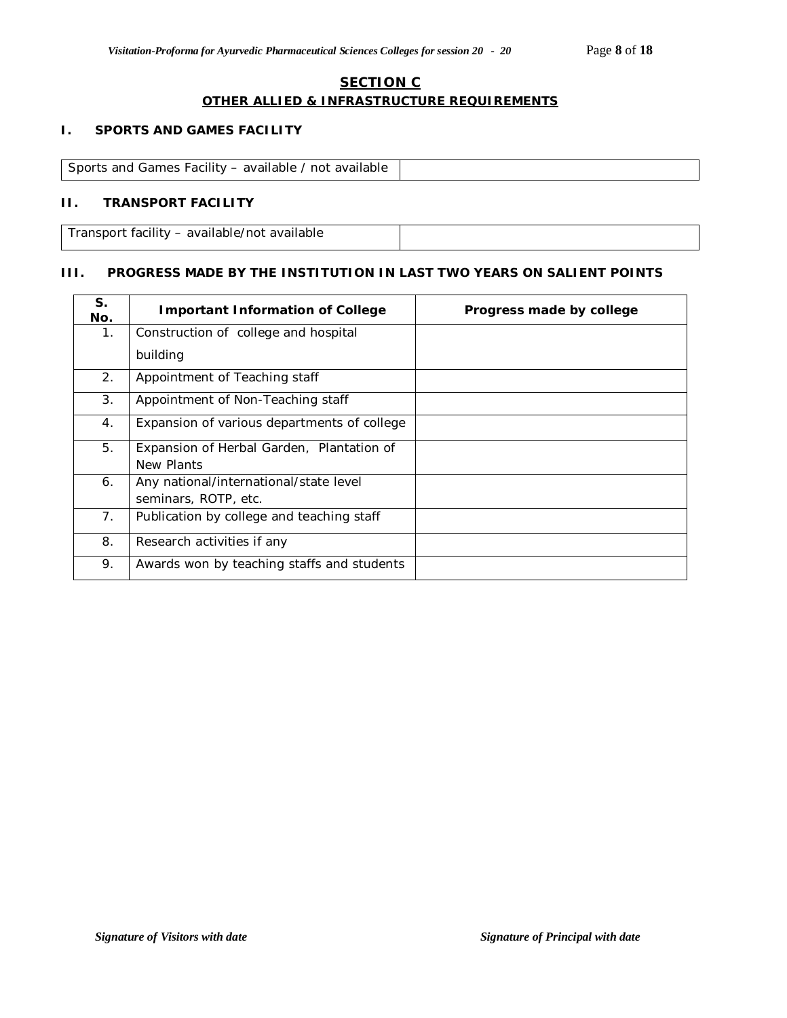## **SECTION C OTHER ALLIED & INFRASTRUCTURE REQUIREMENTS**

## **I. SPORTS AND GAMES FACILITY**

| Sports and Games Facility – available / not available<br>. |  |
|------------------------------------------------------------|--|

## **II. TRANSPORT FACILITY**

Transport facility – available/not available

#### **III. PROGRESS MADE BY THE INSTITUTION IN LAST TWO YEARS ON SALIENT POINTS**

| S.<br>No. | <b>Important Information of College</b>     | Progress made by college |
|-----------|---------------------------------------------|--------------------------|
| 1.        | Construction of college and hospital        |                          |
|           | building                                    |                          |
| 2.        | Appointment of Teaching staff               |                          |
| 3.        | Appointment of Non-Teaching staff           |                          |
| 4.        | Expansion of various departments of college |                          |
| 5.        | Expansion of Herbal Garden, Plantation of   |                          |
|           | New Plants                                  |                          |
| 6.        | Any national/international/state level      |                          |
|           | seminars, ROTP, etc.                        |                          |
| 7.        | Publication by college and teaching staff   |                          |
| 8.        | Research activities if any                  |                          |
| 9.        | Awards won by teaching staffs and students  |                          |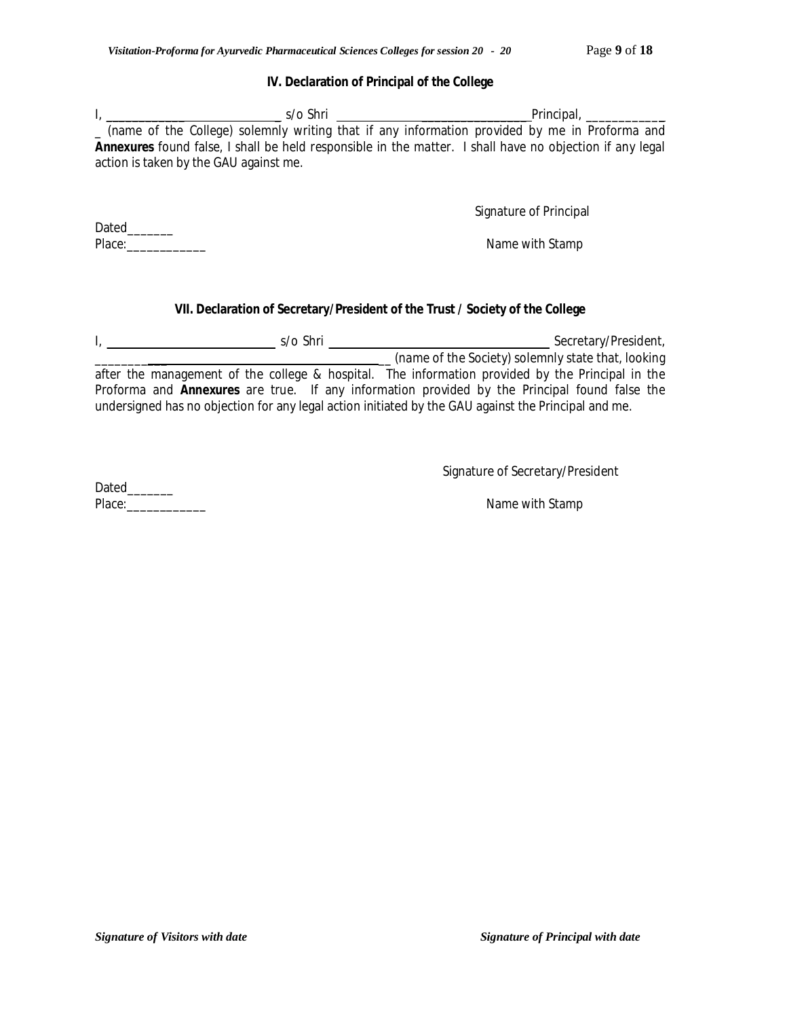#### **IV. Declaration of Principal of the College**

| s/o Shri                               | Principal.                                                                                                      |
|----------------------------------------|-----------------------------------------------------------------------------------------------------------------|
|                                        | (name of the College) solemnly writing that if any information provided by me in Proforma and                   |
|                                        | <b>Annexures</b> found false, I shall be held responsible in the matter. I shall have no objection if any legal |
| action is taken by the GAU against me. |                                                                                                                 |

Signature of Principal

Place: Name with Stamp and Contract Contract Contract Contract Contract Contract Contract Contract Contract Contract Contract Contract Contract Contract Contract Contract Contract Contract Contract Contract Contract Contra

## **VII. Declaration of Secretary/President of the Trust / Society of the College**

I, \_\_\_\_\_\_\_\_\_\_ \_\_\_\_\_\_ \_\_ s/o Shri \_ \_\_\_\_\_\_\_\_\_\_\_\_\_\_\_ Secretary/President,

\_\_\_\_\_\_\_\_\_\_\_ \_\_ (name of the Society) solemnly state that, looking after the management of the college & hospital. The information provided by the Principal in the Proforma and **Annexures** are true. If any information provided by the Principal found false the undersigned has no objection for any legal action initiated by the GAU against the Principal and me.

Signature of Secretary/President

Dated\_\_\_\_\_\_\_ Place:\_\_\_\_\_\_\_\_\_\_\_\_ Name with Stamp

Dated\_\_\_\_\_\_\_\_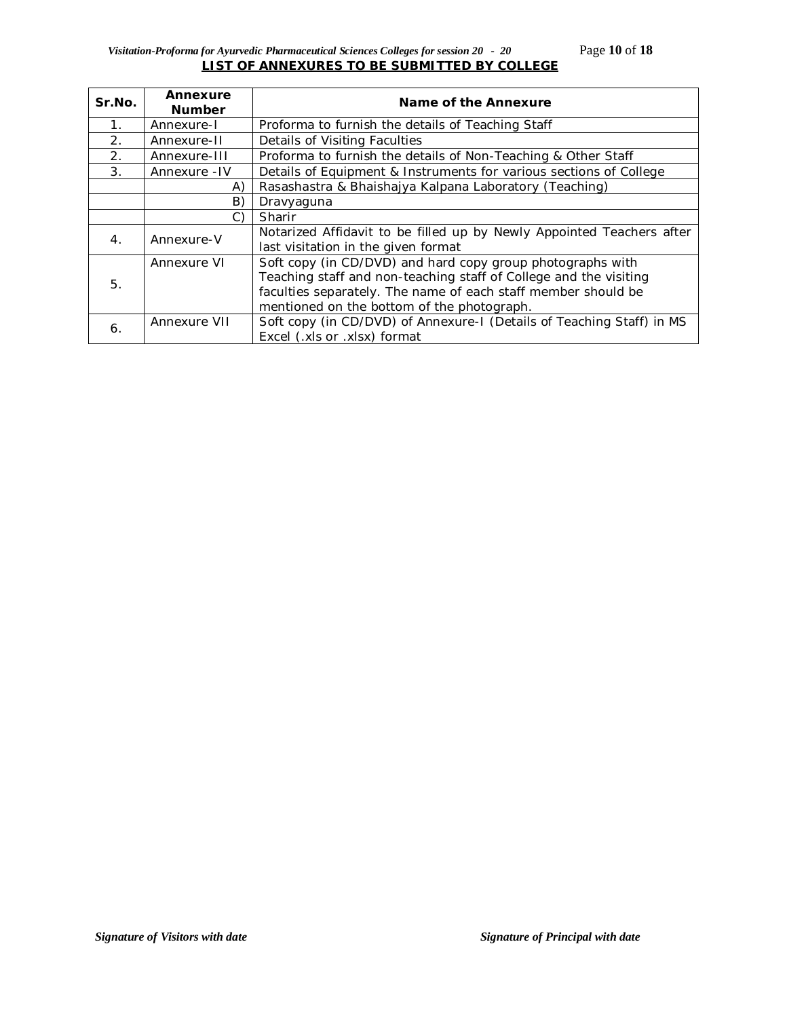## *Visitation-Proforma for Ayurvedic Pharmaceutical Sciences Colleges for session 20 - 20* Page **10** of **18 LIST OF ANNEXURES TO BE SUBMITTED BY COLLEGE**

| Sr.No.           | Annexure<br><b>Number</b> | Name of the Annexure                                                  |
|------------------|---------------------------|-----------------------------------------------------------------------|
| $\mathbf{1}$ .   | Annexure-I                | Proforma to furnish the details of Teaching Staff                     |
| 2.               | Annexure-II               | Details of Visiting Faculties                                         |
| 2.               | Annexure-III              | Proforma to furnish the details of Non-Teaching & Other Staff         |
| 3.               | Annexure - IV             | Details of Equipment & Instruments for various sections of College    |
|                  | A)                        | Rasashastra & Bhaishajya Kalpana Laboratory (Teaching)                |
|                  | B)                        | Dravyaguna                                                            |
|                  | C)                        | Sharir                                                                |
| $\overline{4}$ . | Annexure-V                | Notarized Affidavit to be filled up by Newly Appointed Teachers after |
|                  |                           | last visitation in the given format                                   |
|                  | Annexure VI               | Soft copy (in CD/DVD) and hard copy group photographs with            |
| 5.               |                           | Teaching staff and non-teaching staff of College and the visiting     |
|                  |                           | faculties separately. The name of each staff member should be         |
|                  |                           | mentioned on the bottom of the photograph.                            |
| 6.               | Annexure VII              | Soft copy (in CD/DVD) of Annexure-I (Details of Teaching Staff) in MS |
|                  |                           | Excel (.xls or .xlsx) format                                          |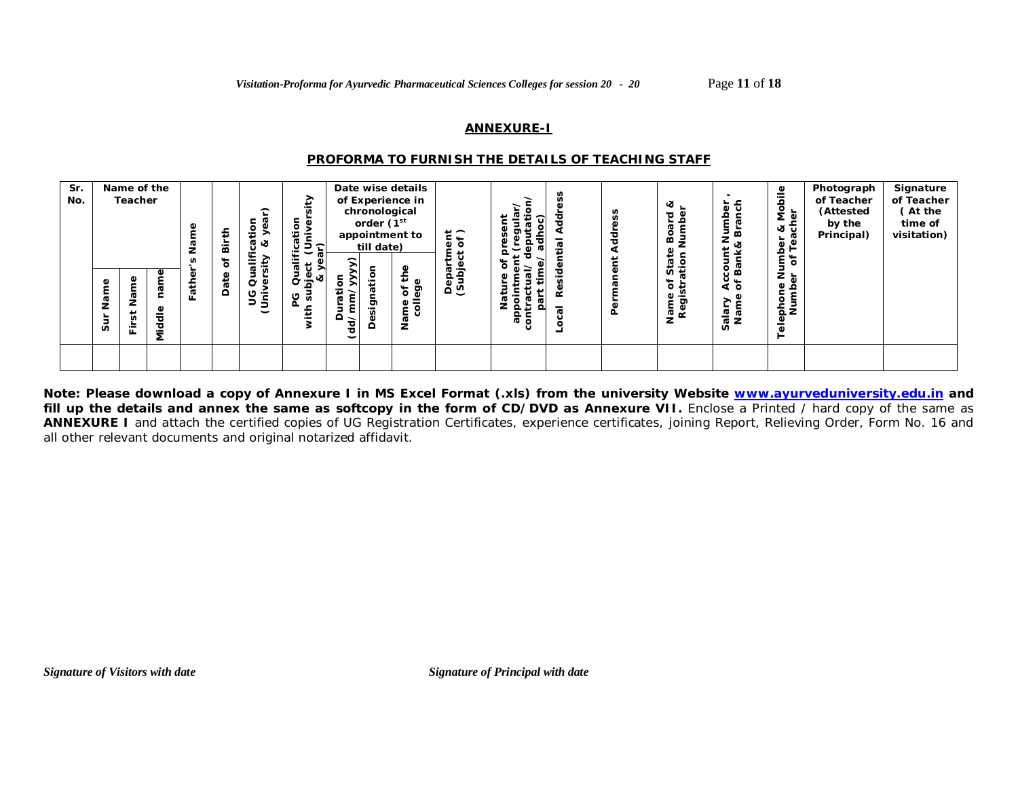#### **ANNEXURE-I**

#### *PROFORMA TO FURNISH THE DETAILS OF TEACHING STAFF*

| Sr.<br>No. | Ф            | Name of the<br>Teacher<br>ω | Φ<br>ğ                     | ≞             | £<br>ä<br>৳<br>Date | $\hat{\phantom{0}}$<br><u>ه</u> .<br>٠<br>æ<br>∝<br>∉<br>><br>÷<br>-<br><br>ø<br>Ō<br><b>d</b> | ₽<br>⊽"<br>ication<br>(Univer<br><u>ෆ</u><br>∾<br>မ္မ<br>5 | ⊂                      | chronological<br>order (1 <sup>st</sup><br>till date)<br>atior | Date wise details<br>of Experience in<br>appointment to<br>ω | $\frac{1}{6}$<br>4 | سد       | n      | n<br>τ | త<br>ਠ<br>≃<br>᠊ᢐ<br>ທ≝<br>↬ | uer<br>Branch<br>dmu<br><b>xx</b><br>E.<br>Ban<br>২ চ | ₾<br>Mobil<br>& Mer<br>සි<br>par<br>FTeë<br>৳<br>È<br>z<br>ত্ৰ | Photograph<br>of Teacher<br>(Attested<br>by the<br>Principal) | Signature<br>of Teacher<br>(At the<br>time of<br>visitation) |
|------------|--------------|-----------------------------|----------------------------|---------------|---------------------|------------------------------------------------------------------------------------------------|------------------------------------------------------------|------------------------|----------------------------------------------------------------|--------------------------------------------------------------|--------------------|----------|--------|--------|------------------------------|-------------------------------------------------------|----------------------------------------------------------------|---------------------------------------------------------------|--------------------------------------------------------------|
|            | ã۵<br>z<br>Ō | Ф<br>⊷<br>n<br>훈            | ÷.<br>Φ<br>᠊ᠣ<br>mid<br>Ni | $\sigma$<br>ட |                     | ပ<br>≔<br>∍<br>$\overline{\phantom{0}}$                                                        | ದ<br>O<br>主                                                | ىد<br>⊆<br>(dd/mi<br>≏ | ã<br>esi,                                                      | ඉ<br>ð<br>-<br>흥<br>z                                        | దొ⊙                | ٠<br>ര റ | ≃<br>ಸ | ۹      | $\circ$<br>ω<br>ත<br>ᄛᆴ      | ialary<br>Name                                        | Ф<br>ء<br>Telephon<br>Num                                      |                                                               |                                                              |

**Note: Please download a copy of Annexure I in MS Excel Format (.xls) from the university Website www.ayurveduniversity.edu.in and**  fill up the details and annex the same as softcopy in the form of CD/DVD as Annexure VII. Enclose a Printed / hard copy of the same as **ANNEXURE I** and attach the certified copies of UG Registration Certificates, experience certificates, joining Report, Relieving Order, Form No. 16 and all other relevant documents and original notarized affidavit.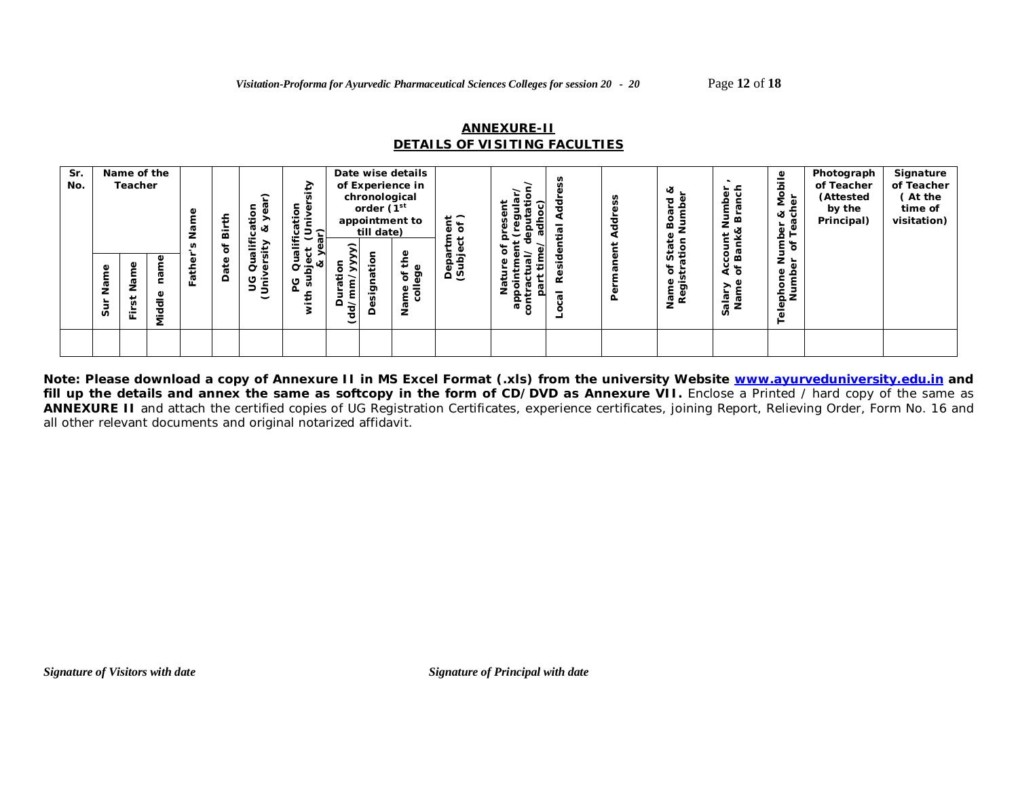## **ANNEXURE-II** *DETAILS OF VISITING FACULTIES*

| Sr.<br>No. | Name<br>Sur | Name of the<br><b>Teacher</b><br>ω<br>z<br>∸<br>ш | G<br>Φ<br>ᄛ<br>ठ<br>Š | Φ<br>Father | ₹<br>ä<br>৳<br>Date | $\widehat{\phantom{a}}$<br>ω<br>Φ<br>÷<br>ത ക<br>><br>$\overline{\phantom{0}}$<br>$\mathbf{v}$<br>৳<br>U<br>ပ<br>څ | ₽<br>⊽"<br>ication<br>(Univer<br>ır)<br>$\check{ }$<br>ō<br>Qual<br>υ<br>Φ<br>ಷ<br>5<br>ದ<br>υ<br>흋 | $\widehat{\phantom{a}}$<br>╭<br>āti<br>۵<br>$\check{d}$ | chronological<br>order (1 <sup>st</sup><br>till date)<br><u>ैं</u><br>پ<br>ট্য<br>n<br>≏ | Date wise details<br>of Experience in<br>appointment to<br>Φ<br>∓<br>Φ<br>ଟ୍ର<br>ð<br>$\overline{5}$<br>Φ<br>≿. | $rac{\pi}{6}$<br>epa<br>(Subj | దా<br>0<br>ة:<br>Ñ,<br>윤륜<br>σō | œ<br>σ | ਹ | ∝<br>ত<br>⋒<br>⊷<br>ø<br>n.<br>ð<br>∓<br>ත<br>ᇹᄚ | lumber<br>Branch<br>count M<br>Bank&<br>$\sharp$<br>९<br>१०<br>alary<br>Name | ౨<br>Mobil<br>፟፼<br>త ర్<br>ස<br>Number<br>er of Tea<br>Ф<br>elephone<br>Numbe | Photograph<br>of Teacher<br>(Attested<br>by the<br>Principal) | Signature<br>of Teacher<br>(At the<br>time of<br>visitation) |
|------------|-------------|---------------------------------------------------|-----------------------|-------------|---------------------|--------------------------------------------------------------------------------------------------------------------|-----------------------------------------------------------------------------------------------------|---------------------------------------------------------|------------------------------------------------------------------------------------------|-----------------------------------------------------------------------------------------------------------------|-------------------------------|---------------------------------|--------|---|--------------------------------------------------|------------------------------------------------------------------------------|--------------------------------------------------------------------------------|---------------------------------------------------------------|--------------------------------------------------------------|
|            |             |                                                   |                       |             |                     |                                                                                                                    |                                                                                                     |                                                         |                                                                                          |                                                                                                                 |                               |                                 |        |   |                                                  |                                                                              |                                                                                |                                                               |                                                              |

**Note: Please download a copy of Annexure II in MS Excel Format (.xls) from the university Website www.ayurveduniversity.edu.in and**  fill up the details and annex the same as softcopy in the form of CD/DVD as Annexure VII. Enclose a Printed / hard copy of the same as **ANNEXURE II** and attach the certified copies of UG Registration Certificates, experience certificates, joining Report, Relieving Order, Form No. 16 and all other relevant documents and original notarized affidavit.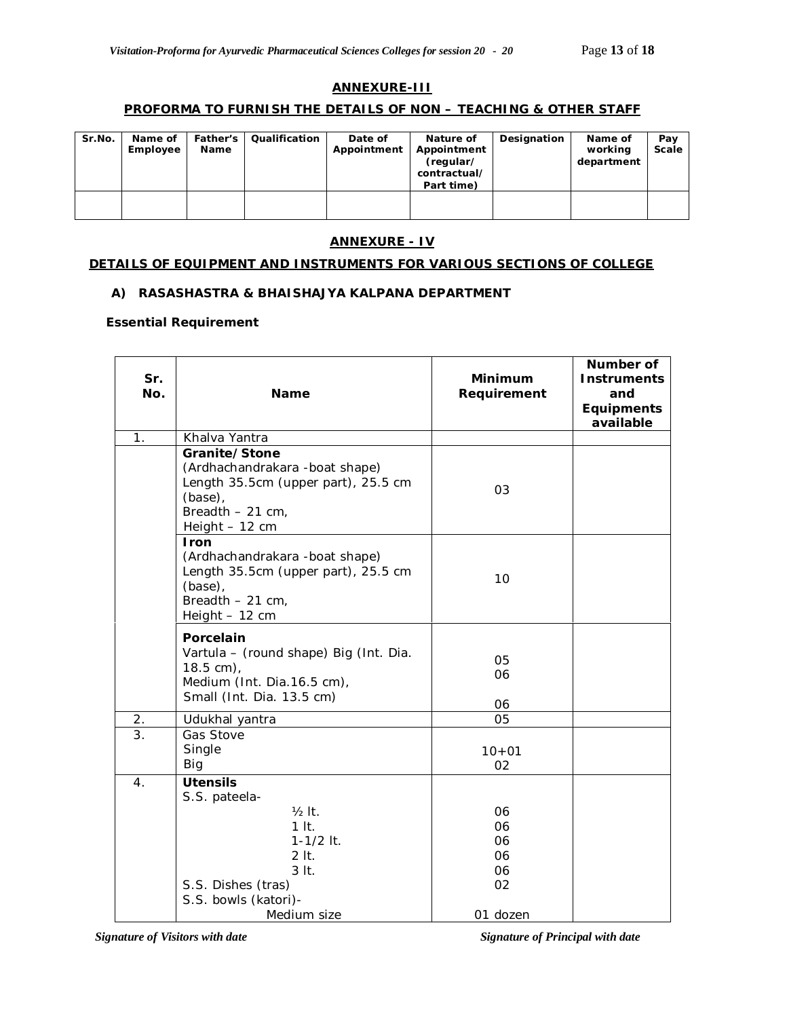## **ANNEXURE-III**

#### **PROFORMA TO FURNISH THE DETAILS OF NON – TEACHING & OTHER STAFF**

| Sr.No. | Name of<br>Employee | <b>Father's</b><br>Name | Qualification | Date of<br>Appointment | Nature of<br>Appointment<br>(regular/<br>contractual/<br>Part time) | Designation | Name of<br>working<br>department | Pav<br>Scale |
|--------|---------------------|-------------------------|---------------|------------------------|---------------------------------------------------------------------|-------------|----------------------------------|--------------|
|        |                     |                         |               |                        |                                                                     |             |                                  |              |

#### **ANNEXURE - IV**

#### **DETAILS OF EQUIPMENT AND INSTRUMENTS FOR VARIOUS SECTIONS OF COLLEGE**

#### **A) RASASHASTRA & BHAISHAJYA KALPANA DEPARTMENT**

#### **Essential Requirement**

| Sr.<br>No.       | Name                                                                                                                                                         | <b>Minimum</b><br>Requirement                | Number of<br><b>Instruments</b><br>and<br>Equipments<br>available |
|------------------|--------------------------------------------------------------------------------------------------------------------------------------------------------------|----------------------------------------------|-------------------------------------------------------------------|
| 1.               | Khalva Yantra                                                                                                                                                |                                              |                                                                   |
|                  | Granite/Stone<br>(Ardhachandrakara -boat shape)<br>Length 35.5cm (upper part), 25.5 cm<br>(base),<br>Breadth $-21$ cm,<br>Height - 12 cm                     | 03                                           |                                                                   |
|                  | Iron<br>(Ardhachandrakara -boat shape)<br>Length 35.5cm (upper part), 25.5 cm<br>(base),<br>Breadth $-21$ cm,<br>Height - 12 cm                              | 10                                           |                                                                   |
|                  | Porcelain<br>Vartula - (round shape) Big (Int. Dia.<br>$18.5 \text{ cm}$ ,<br>Medium (Int. Dia.16.5 cm),<br>Small (Int. Dia. 13.5 cm)                        | 05<br>06<br>06                               |                                                                   |
| 2.               | Udukhal yantra                                                                                                                                               | 05                                           |                                                                   |
| $\overline{3}$ . | Gas Stove<br>Single<br>Big                                                                                                                                   | $10 + 01$<br>02                              |                                                                   |
| 4.               | <b>Utensils</b><br>S.S. pateela-<br>$1/2$ It.<br>$1$ It.<br>$1 - 1/2$ It.<br>$2$ It.<br>$3$ It.<br>S.S. Dishes (tras)<br>S.S. bowls (katori)-<br>Medium size | 06<br>06<br>06<br>06<br>06<br>02<br>01 dozen |                                                                   |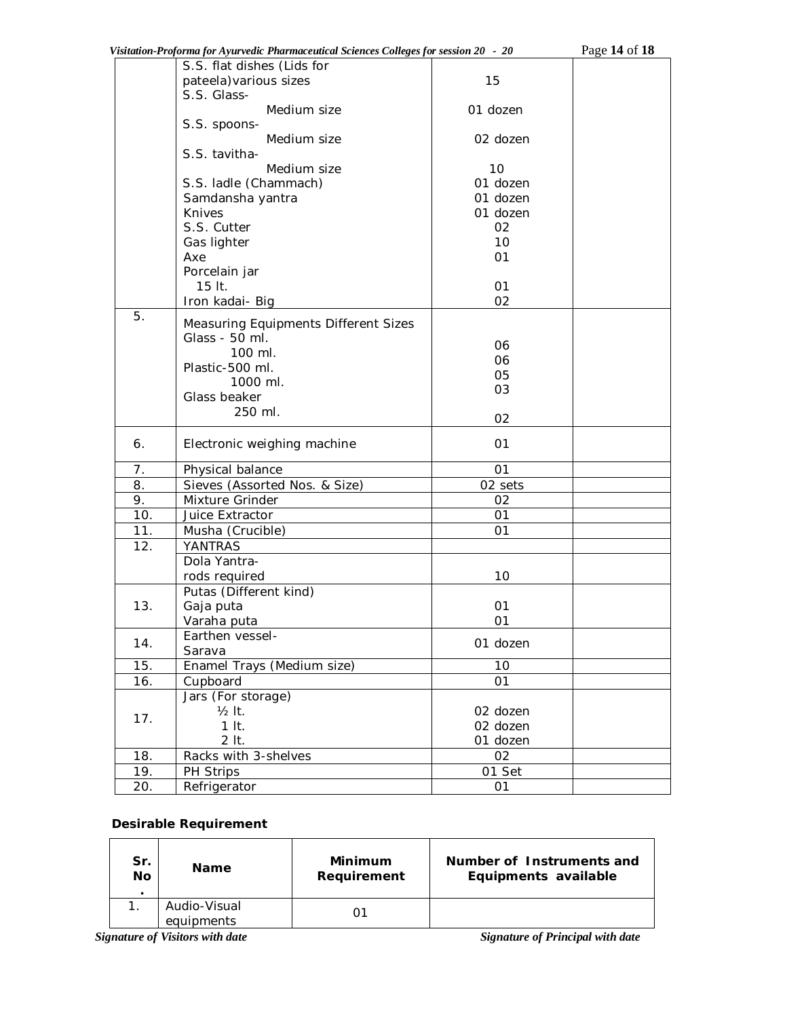|     | Visitation-Proforma for Ayurvedic Pharmaceutical Sciences Colleges for session 20 - 20 |          | Page 14 of 18 |
|-----|----------------------------------------------------------------------------------------|----------|---------------|
|     | S.S. flat dishes (Lids for                                                             |          |               |
|     | pateela) various sizes                                                                 | 15       |               |
|     | S.S. Glass-                                                                            |          |               |
|     | Medium size                                                                            | 01 dozen |               |
|     | S.S. spoons-                                                                           |          |               |
|     | Medium size                                                                            | 02 dozen |               |
|     | S.S. tavitha-                                                                          |          |               |
|     | Medium size                                                                            | 10       |               |
|     | S.S. ladle (Chammach)                                                                  | 01 dozen |               |
|     | Samdansha yantra                                                                       | 01 dozen |               |
|     | Knives                                                                                 | 01 dozen |               |
|     | S.S. Cutter                                                                            | 02       |               |
|     | Gas lighter                                                                            | 10       |               |
|     | Axe                                                                                    | 01       |               |
|     | Porcelain jar                                                                          |          |               |
|     | 15 lt.                                                                                 | 01       |               |
|     | Iron kadai- Big                                                                        | 02       |               |
| 5.  | Measuring Equipments Different Sizes                                                   |          |               |
|     | Glass - 50 ml.                                                                         |          |               |
|     | 100 ml.                                                                                | 06       |               |
|     | Plastic-500 ml.                                                                        | 06       |               |
|     | 1000 ml.                                                                               | 05       |               |
|     | Glass beaker                                                                           | 03       |               |
|     | 250 ml.                                                                                |          |               |
|     |                                                                                        | 02       |               |
| 6.  | Electronic weighing machine                                                            | 01       |               |
| 7.  | Physical balance                                                                       | 01       |               |
| 8.  | Sieves (Assorted Nos. & Size)                                                          | 02 sets  |               |
| 9.  | Mixture Grinder                                                                        | 02       |               |
| 10. | Juice Extractor                                                                        | 01       |               |
| 11. | Musha (Crucible)                                                                       | 01       |               |
| 12. | YANTRAS                                                                                |          |               |
|     | Dola Yantra-                                                                           |          |               |
|     | rods required                                                                          | 10       |               |
|     | Putas (Different kind)                                                                 |          |               |
| 13. | Gaja puta                                                                              | 01       |               |
|     | Varaha puta                                                                            | 01       |               |
|     | Earthen vessel-                                                                        |          |               |
| 14. | Sarava                                                                                 | 01 dozen |               |
| 15. | Enamel Trays (Medium size)                                                             | 10       |               |
| 16. | Cupboard                                                                               | 01       |               |
|     | Jars (For storage)                                                                     |          |               |
|     | $1/2$ It.                                                                              | 02 dozen |               |
| 17. | $1$ It.                                                                                | 02 dozen |               |
|     | $2$ It.                                                                                | 01 dozen |               |
| 18. | Racks with 3-shelves                                                                   | 02       |               |
| 19. | PH Strips                                                                              | 01 Set   |               |
| 20. | Refrigerator                                                                           | 01       |               |
|     |                                                                                        |          |               |

# **Desirable Requirement**

| Sr.<br>No<br>٠ | <b>Name</b>                | Minimum<br>Requirement | Number of Instruments and<br>Equipments available |
|----------------|----------------------------|------------------------|---------------------------------------------------|
|                | Audio-Visual<br>equipments | O٢                     |                                                   |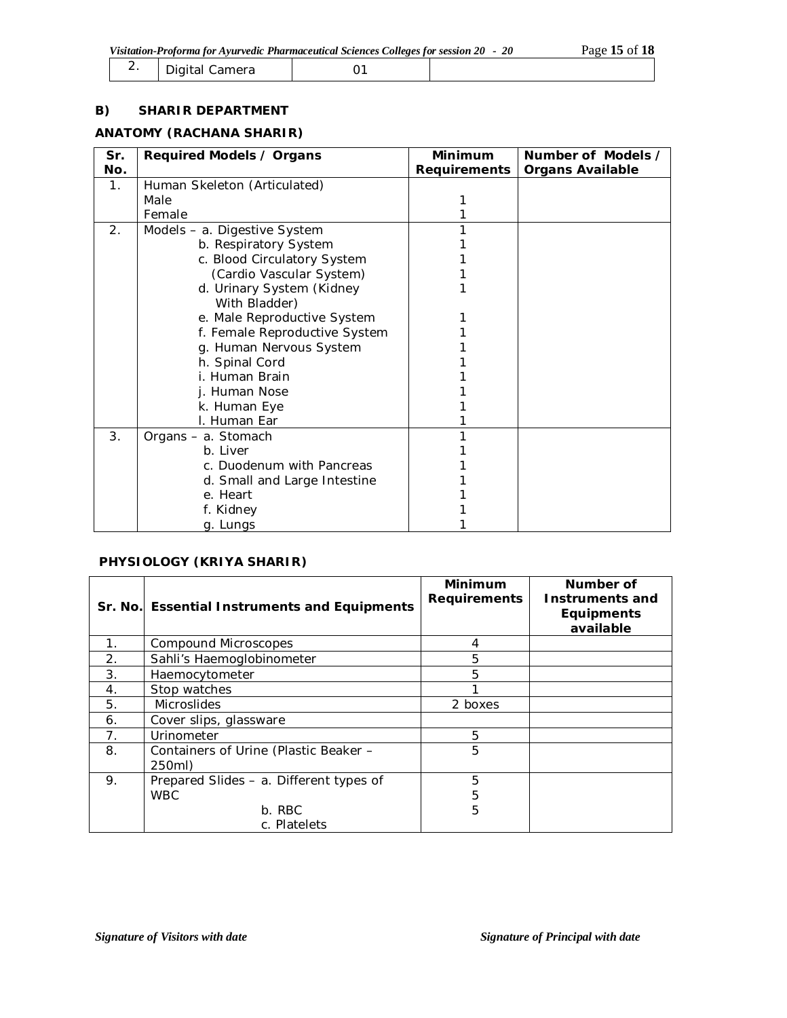| <u>.</u> | Digital<br>Camera |  |  |
|----------|-------------------|--|--|
|----------|-------------------|--|--|

### **B) SHARIR DEPARTMENT**

#### **ANATOMY (RACHANA SHARIR)**

| Sr.<br>No. | Required Models / Organs      | <b>Minimum</b><br>Requirements | Number of Models /<br><b>Organs Available</b> |
|------------|-------------------------------|--------------------------------|-----------------------------------------------|
| 1.         | Human Skeleton (Articulated)  |                                |                                               |
|            | Male                          |                                |                                               |
|            | Female                        |                                |                                               |
| 2.         | Models - a. Digestive System  |                                |                                               |
|            | b. Respiratory System         |                                |                                               |
|            | c. Blood Circulatory System   |                                |                                               |
|            | (Cardio Vascular System)      |                                |                                               |
|            | d. Urinary System (Kidney     |                                |                                               |
|            | With Bladder)                 |                                |                                               |
|            | e. Male Reproductive System   |                                |                                               |
|            | f. Female Reproductive System |                                |                                               |
|            | g. Human Nervous System       |                                |                                               |
|            | h. Spinal Cord                |                                |                                               |
|            | i. Human Brain                |                                |                                               |
|            | j. Human Nose                 |                                |                                               |
|            | k. Human Eye                  |                                |                                               |
|            | I. Human Ear                  |                                |                                               |
| 3.         | Organs - a. Stomach           |                                |                                               |
|            | b. Liver                      |                                |                                               |
|            | c. Duodenum with Pancreas     |                                |                                               |
|            | d. Small and Large Intestine  |                                |                                               |
|            | e. Heart                      |                                |                                               |
|            | f. Kidney                     |                                |                                               |
|            | g. Lungs                      |                                |                                               |

## **PHYSIOLOGY (KRIYA SHARIR)**

|    | Sr. No. Essential Instruments and Equipments | <b>Minimum</b><br><b>Requirements</b> | Number of<br><b>Instruments and</b><br><b>Equipments</b><br>available |
|----|----------------------------------------------|---------------------------------------|-----------------------------------------------------------------------|
| 1. | <b>Compound Microscopes</b>                  | 4                                     |                                                                       |
| 2. | Sahli's Haemoglobinometer                    | 5                                     |                                                                       |
| 3. | Haemocytometer                               | 5                                     |                                                                       |
| 4. | Stop watches                                 |                                       |                                                                       |
| 5. | <b>Microslides</b>                           | 2 boxes                               |                                                                       |
| 6. | Cover slips, glassware                       |                                       |                                                                       |
| 7. | Urinometer                                   | 5                                     |                                                                       |
| 8. | Containers of Urine (Plastic Beaker -        | 5                                     |                                                                       |
|    | 250ml)                                       |                                       |                                                                       |
| 9. | Prepared Slides - a. Different types of      | 5                                     |                                                                       |
|    | WBC.                                         | 5                                     |                                                                       |
|    | b. RBC                                       | 5                                     |                                                                       |
|    | c. Platelets                                 |                                       |                                                                       |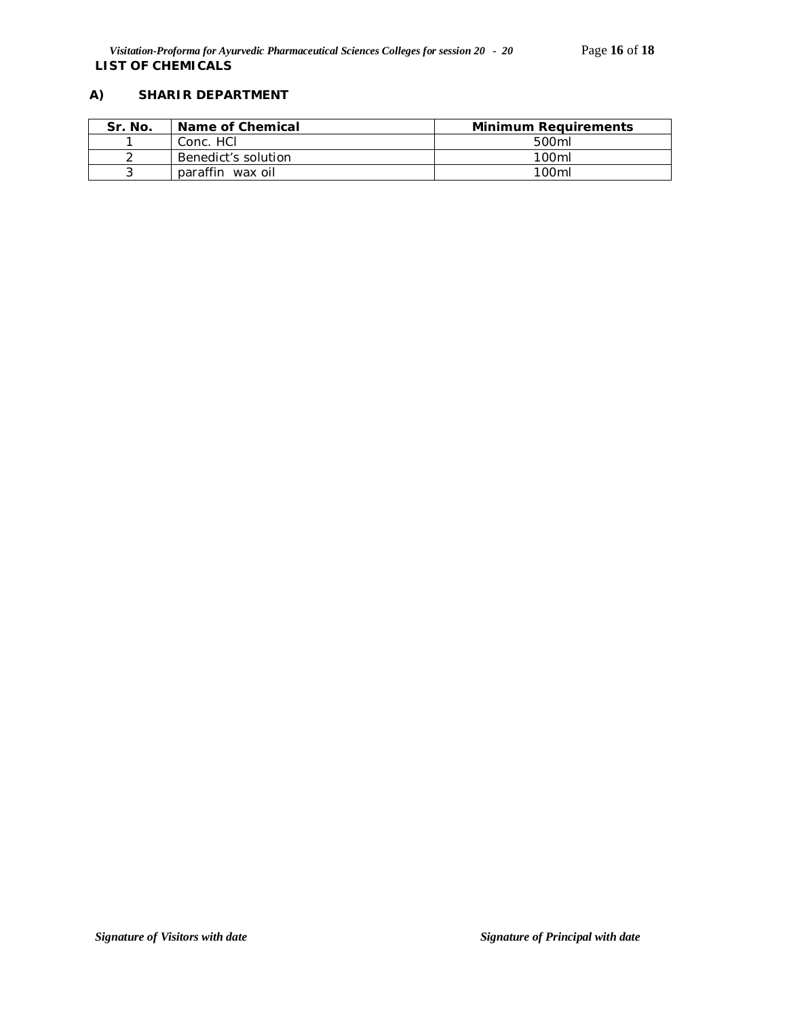# **A) SHARIR DEPARTMENT**

| Sr. No. | Name of Chemical    | <b>Minimum Requirements</b> |
|---------|---------------------|-----------------------------|
|         | Conc. HCI           | 500ml                       |
|         | Benedict's solution | 100 <sub>m</sub>            |
|         | paraffin wax oil    | 100 <sub>ml</sub>           |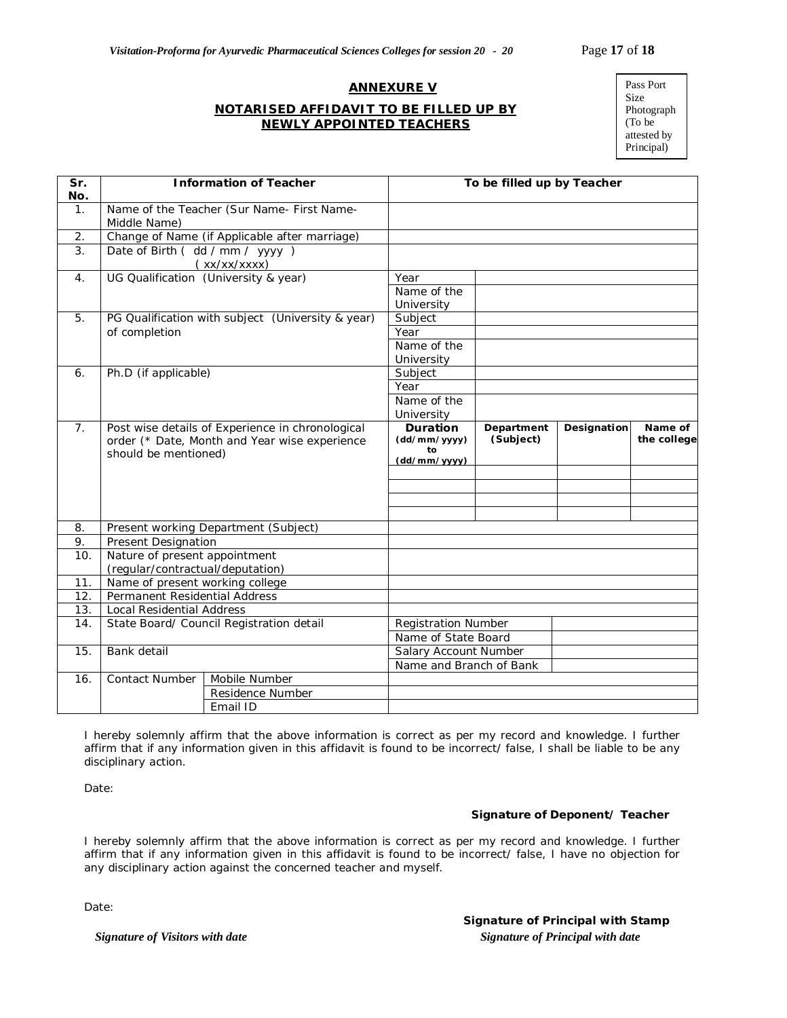#### **ANNEXURE V**

## **NOTARISED AFFIDAVIT TO BE FILLED UP BY NEWLY APPOINTED TEACHERS**

| Pass Port   |
|-------------|
| Size        |
| Photograph  |
| (To be      |
| attested by |
| Principal)  |

| Sr.<br>No.     | <b>Information of Teacher</b>                                                                                             |                                            | To be filled up by Teacher                            |                         |             |                        |
|----------------|---------------------------------------------------------------------------------------------------------------------------|--------------------------------------------|-------------------------------------------------------|-------------------------|-------------|------------------------|
| 1.             | Middle Name)                                                                                                              | Name of the Teacher (Sur Name- First Name- |                                                       |                         |             |                        |
| 2.             | Change of Name (if Applicable after marriage)                                                                             |                                            |                                                       |                         |             |                        |
| 3.             | Date of Birth (dd / mm / yyyy)                                                                                            |                                            |                                                       |                         |             |                        |
|                | (xx/xx/xxxx)                                                                                                              |                                            |                                                       |                         |             |                        |
| 4.             | UG Qualification (University & year)                                                                                      |                                            | Year                                                  |                         |             |                        |
|                |                                                                                                                           |                                            | Name of the                                           |                         |             |                        |
|                |                                                                                                                           |                                            | University                                            |                         |             |                        |
| 5.             | PG Qualification with subject (University & year)<br>of completion                                                        |                                            | Subject                                               |                         |             |                        |
|                |                                                                                                                           |                                            | Year                                                  |                         |             |                        |
|                |                                                                                                                           |                                            | Name of the                                           |                         |             |                        |
|                |                                                                                                                           |                                            | University                                            |                         |             |                        |
| 6.             | Ph.D (if applicable)                                                                                                      |                                            | Subject                                               |                         |             |                        |
|                |                                                                                                                           |                                            | Year                                                  |                         |             |                        |
|                |                                                                                                                           |                                            | Name of the                                           |                         |             |                        |
|                |                                                                                                                           |                                            | University                                            |                         |             |                        |
| 7 <sub>1</sub> | Post wise details of Experience in chronological<br>order (* Date, Month and Year wise experience<br>should be mentioned) |                                            | <b>Duration</b><br>(dd/mm/yyyy)<br>to<br>(dd/mm/yyyy) | Department<br>(Subject) | Designation | Name of<br>the college |
|                |                                                                                                                           |                                            |                                                       |                         |             |                        |
|                |                                                                                                                           |                                            |                                                       |                         |             |                        |
|                |                                                                                                                           |                                            |                                                       |                         |             |                        |
|                |                                                                                                                           |                                            |                                                       |                         |             |                        |
| 8.             | Present working Department (Subject)                                                                                      |                                            |                                                       |                         |             |                        |
| 9.             | Present Designation                                                                                                       |                                            |                                                       |                         |             |                        |
| 10.            | Nature of present appointment                                                                                             |                                            |                                                       |                         |             |                        |
|                | (regular/contractual/deputation)                                                                                          |                                            |                                                       |                         |             |                        |
| 11.            | Name of present working college                                                                                           |                                            |                                                       |                         |             |                        |
| 12.            | Permanent Residential Address                                                                                             |                                            |                                                       |                         |             |                        |
| 13.            | <b>Local Residential Address</b>                                                                                          |                                            |                                                       |                         |             |                        |
| 14.            | State Board/ Council Registration detail                                                                                  |                                            | <b>Registration Number</b>                            |                         |             |                        |
|                |                                                                                                                           |                                            | Name of State Board                                   |                         |             |                        |
| 15.            | Bank detail                                                                                                               |                                            | Salary Account Number                                 |                         |             |                        |
|                |                                                                                                                           |                                            | Name and Branch of Bank                               |                         |             |                        |
| 16.            | Contact Number                                                                                                            | Mobile Number                              |                                                       |                         |             |                        |
|                |                                                                                                                           | Residence Number                           |                                                       |                         |             |                        |
|                |                                                                                                                           | Email ID                                   |                                                       |                         |             |                        |

I hereby solemnly affirm that the above information is correct as per my record and knowledge. I further affirm that if any information given in this affidavit is found to be incorrect/ false, I shall be liable to be any disciplinary action.

Date:

#### **Signature of Deponent/ Teacher**

I hereby solemnly affirm that the above information is correct as per my record and knowledge. I further affirm that if any information given in this affidavit is found to be incorrect/ false, I have no objection for any disciplinary action against the concerned teacher and myself.

Date:

*Signature of Visitors with date*  $Signature of Principal with date$ **Signature of Principal with Stamp**